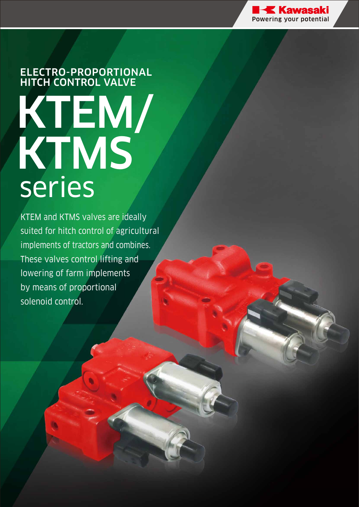

# ELECTRO-PROPORTIONAL HITCH CONTROL VALVE KTEM/ KTMS series

KTEM and KTMS valves are ideally suited for hitch control of agricultural implements of tractors and combines. These valves control lifting and lowering of farm implements by means of proportional solenoid control.